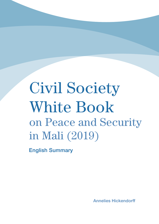# Civil Society White Book on Peace and Security in Mali (2019)

English Summary

Annelies Hickendorff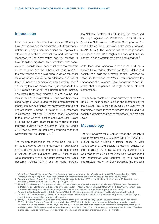# Introduction

In the 'Civil Society White Book on Peace and Security in Mali', Malian civil society organizations (CSOs) propose bottom-up policy recommendations to improve the effectiveness of the current national and international responses to the deteriorating security situation in Mali. $^1$  In spite of significant amounts of time and money pledged towards state reconstruction since the start of the rebellion and the subsequent coup in 2012, the root causes of the Mali crisis, such as structural state weakness, are yet to be addressed and few of the 2015 peace agreements have been implemented. $2$ The strong focus on military security in response to the 2012 events has so far had limited impact. Instead, new battle lines have emerged, armed groups and local militias have proliferated, civilians have become a direct target of attacks, and the instrumentalization of ethnic identities has fuelled intercommunity conflicts of unprecedented violence. In March 2019, a massacre in Ogossagou left over 160 people dead. $3$  According to the Armed Conflict Location and Event Data Project (ACLED), the civilian death toll linked to direct attacks targeting civilians from November 2018 to March 2019 rose by over 300 per cent compared to that of November 2017 to March 2018.<sup>4</sup>

The recommendations in the White Book are built on data collected during three years of quantitative and qualitative studies on the needs and perceptions of security of local civil society actors. These studies were conducted by the Stockholm International Peace Research Institute (SIPRI) and its Malian partner, the National Coalition of Civil Society for Peace and the Fight Against the Proliferation of Small Arms (Coalition Nationale de la Société Civile pour la Paix et la Lutte contre la Prolifération des Armes Légères, CONASCIPAL). The research results were previously published in two SIPRI Insights on Peace and Security papers, which present more detailed data analysis.<sup>5</sup>

With local and legislative elections as well as a constitutional review planned for 2019, Malian civil society now calls for a strong political response to insecurity. In addition, the White Book emphasizes the importance of an evidence-based approach to security policy that incorporates the high diversity of local perspectives.

This paper presents an English summary of the White Book. The next section outlines the methodology of the project. This is then followed by an overview of the project's most important research results, and civil society's recommendations at the national and regional levels.

# **Methodology**

The 'Civil Society White Book on Peace and Security in Mali' is the final product of a joint SIPRI–CONASCIPAL project entitled 'Building a lasting peace in Mali: Contributions of civil society to security policies for the population' (2016–18). Steered by a White Book Commission (see 'About the White Book Commission') and coordinated and facilitated by two scientific coordinators, the White Book translates the project's

<sup>1</sup> White Book Commission, Livre Blanc de la société civile pour la paix et la sécurité au Mali (SIPRI: Stockholm, Jan. 2019), <https://www.sipri.org/publications/2019/other-publications/white-book-civil-society-peace-and-security-mali>.

<sup>2</sup> Craven-Matthews, C. and Englebert, P., 'A Potemkin state in the Sahel? The empirical and the fictional in Malian state reconstruction', African Security, vol. 11, no. 1 (2018), pp. 1–31.

<sup>3</sup> Ahmed, B., 'Massacre d'Ogossagou au Mali: cinq assaillants arrêtés, selon le procureur de Mopti' [Massacre of Ogossagou in Mali: Five assailants arrested, according the prosecutor of Mopti], Jeune Afrique, 28 Mar. 2019, <https://www.jeuneafrique. com/755653/politique/massacre-dogossagou-au-mali-cinq-assaillants-arretes-selon-le-procureur-de-mopti>.

<sup>4</sup> Armed Conflict Location & Event Data Project (ACLED), 'Political Violence Skyrockets in the Sahel According to Latest ACLED Data', Press release, 28 Mar. 2019, <https://www.acleddata.com/2019/03/28/press-release-political-violence-skyrockets-in-the-sahel-according-to-latest-acled-data>.

<sup>5</sup> Tobie, A., 'A fresh perspective on security concerns among Malian civil society', SIPRI Insights on Peace and Security no. 2017/2, July 2017, <https://www.sipri.org/publications/2017/sipri-insights-peace-and-security/fresh-perspective-security-concerns-among-malian-civil-society>; and Tobie, A., 'State services in an insecure environment: Perceptions among civil society in Mali', SIPRI Insights on Peace and Security no. 2018/7, Dec. 2018, <https://www.sipri.org/publications/2018/sipri-insights-peace-and-security/state-services-insecure-environment-perceptions-among-civil-society-mali>.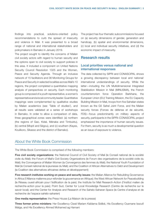findings into practical, solutions-oriented policy recommendations to curb the spread of insecurity and violence in Mali. It was presented to a broad range of national and international stakeholders and policymakers in Bamako in January 2019.

The project sought to identify the concerns of Malian civil society actors with regard to human security and the options open to civil society to support policies in this area. It included a component on United Nations Security Council Resolution 1325 and the Women, Peace and Security Agenda. Through an inclusive network of 15 facilitators and 36 Monitoring Groups for Peace and Security in selected localities across Mali's 10 regions, the project completed a quantitative mapping analysis of perspectives on security. Each monitoring group is composed of a youth representative, a women's representative and a local community leader. Quantitative mappings were complemented by qualitative studies by Malian academics (see 'Table of studies'), and all results were validated at a series of workshops in Bamako. In order to allow a comparison of data, three geographical zones were identified: (a) northern (the regions of Gao, Kidal, Ménaka and Timbuktu), (b) central (Mopti and Ségou), and (c) southern (Kayes, Koulikoro, Sikasso and the district of Bamako).

The project has four thematic subcommissions focused on (a) security dimensions of gender, generation and handicap, (b) spatial and environmental dimensions, (c) local and individual security initiatives, and (d) the economic impact of insecurity.

# Research results

#### Local priorities versus national and international responses

The data collected by SIPRI and CONASCIPAL shows a growing discrepancy between local and national/ international understandings of security. While the latter—including the UN Multidimensional Integrated Stabilization Mission in Mali (MINUSMA), the French counterterrorism force Operation Barkhane, the European Union (EU) Training Mission, the EU Capacity Building Mission in Mali, troops from five Sahelian states known as the G5 Sahel Joint Force, and the Malian security forces (Forces de défense et de sécurité, FDS)—focus predominantly on military aspects of security, participants in the SIPRI–CONASCIPAL project emphasized the importance of human security issues. For them, security is as much a developmental question as an issue of exposure to violence.

# About the White Book Commission

The White Book Commission is comprised of the following members:

Five civil society organizations: the National Council of Civil Society of Mali (le Conseil national de la société civile du Mali); the Forum of Mali's Civil Society Organizations (le Forum des organisations de la société civile du Mali); the Convergence of Malian Women (la Convergence des femmes du Mali); the National Youth Foundation of Mali (le Conseil national de la jeunesse du Mali); and the Coalition of African Alternatives to Debt and Development (la Coalition des alternatives africaines dettes et développement)

Five research institutes working on peace and security issues: the Malian Alliance for Rebuilding Governance in Africa (l'Alliance malienne pour refonder la gouvernance en Afrique); the West African Network for Peacebuilding (le Réseau ouest-africain pour l'édification de la paix); the Institute for Mali Research-Action (l'Institut malien de recherche-action pour la paix); Point Sud, Center for Local Knowledge Research (Centre de recherche sur le savoir local); and the Center for Analysis and Research of the Sahelo-Saharan Space (le Centre d'analyse et de recherche de l'espace sahélo-saharien)

One media representative: the Press House (La Maison de la presse)

Three former prime ministers: Her Excellency Cissé Mariam Kaïdama Sidibé, His Excellency Ousmane Issoufi Maïga, and His Excellency Ahmed Mohamed ag Hamani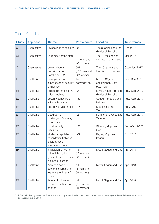# Table of studies\*

| <b>Study</b>   | Approach     | <b>Theme</b>                                                                                  | <b>Participants</b>               | <b>Location</b>                                  | <b>Time frames</b> |
|----------------|--------------|-----------------------------------------------------------------------------------------------|-----------------------------------|--------------------------------------------------|--------------------|
| Q1             | Quantitative | Perceptions of security                                                                       | 93                                | The 9 regions and the<br>district of Bamako      | Oct. 2016          |
| Q2             | Quantitative | Legitimacy of the state                                                                       | 110<br>(70 men and<br>40 women)   | The 10 regions and<br>the district of Bamako     | Mar. 2017          |
| Q3             | Quantitative | <b>United Nations</b><br><b>Security Council</b><br>Resolution 1325                           | 387<br>(102 men and<br>281 women) | The 10 regions and<br>the district of Bamako     | Oct.-Nov. 2017     |
| E <sub>0</sub> | Qualitative  | Perceptions and<br>experiences of security<br>challenges                                      | Two<br>communities                | Niono (Ségou)<br>and Kalaban-Coro<br>(Koulikoro) | Nov.-Dec. 2016     |
| E1             | Qualitative  | Role of external actors<br>in local politics                                                  | 129                               | Kayes, Ségou and the<br>district of Bamako       | Aug.-Sep. 2017     |
| E <sub>2</sub> | Qualitative  | Security concerns of<br>vulnerable groups                                                     | 130                               | Ségou, Timbuktu and<br>Ménaka                    | Aug.-Sep. 2017     |
| E <sub>3</sub> | Qualitative  | Security-development<br>nexus                                                                 | 176                               | Mopti, Gao and<br>Timbuktu                       | Sep. 2017          |
| E <sub>4</sub> | Qualitative  | Geographic<br>challenges of security<br>programmes                                            | 121                               | Koulikoro, Sikasso and<br>Taoudéni               | Aug.-Sep. 2017     |
| E <sub>5</sub> | Qualitative  | Local security<br>initiatives                                                                 | 135                               | Sikasso, Mopti and<br>Gao                        | Sep.-Oct. 2017     |
| E <sub>6</sub> | Qualitative  | Modes of regulation of<br>cohabitation between<br>different socio-<br>economic groups         | 107                               | Kayes, Mopti and<br>Ségou                        | Oct. 2017          |
| E7             | Qualitative  | Implication of women<br>in the fight against<br>gender-based violence<br>in times of conflict | 48<br>(12 men and<br>36 women)    | Mopti, Ségou and Gao                             | Apr. 2018          |
| E <sub>8</sub> | Qualitative  | Women's socio-<br>economic rights and<br>resilience in times of<br>conflict                   | 44<br>(6 men and<br>38 women)     | Mopti, Ségou and Gao                             | Apr. 2018          |
| E <sub>9</sub> | Qualitative  | Role and influence<br>of women in times of<br>conflict                                        | 44<br>(6 men and<br>38 women)     | Mopti, Ségou and Gao                             | Apr. 2018          |

\* A 36th Monitoring Group for Peace and Security was added to the project in Mar. 2017, covering the Taoudéni region that was operationalized in 2016.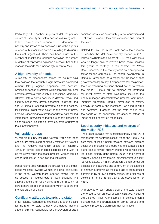Particularly in the northern regions of Mali, the primary causes of insecurity are lack of access to drinking water, lack of basic services, economic underdevelopment, banditry and limited social cohesion. Due to the high risk of attacks, humanitarian actors are failing to distribute the most urgent aid. There has been a rise in the number of attacks and robberies as well as the number of victims of improvised explosive devices (IEDs) on the roads in the north (and increasingly in central Mali).

#### A high diversity of needs

A majority of respondents across the country said they believed that security programmes are developed without taking regional disparities into account. National dynamics interacting with local and micro-local conflicts create a wide variety of conditions. Moreover, different actors define security in different ways, and security needs vary greatly according to gender and age. A Bamako-focused interpretation of the conflict, for example, might focus solely on the terrorist threat. However, according to study respondents, national and international interventions that focus on this dimension alone are often unsuitable or even counterproductive at the subnational level.

#### Vulnerable groups

Vulnerable groups, including women, youth and poor people, are often disproportionally affected by violence and the negative economic effects of instability. Although female respondents expressed the wish to be more involved in the peace process, women remain under-represented in decision-making circles.

Respondents also reported the prevalence of genderbased violence towards women and girls, particularly in the north. Women there reported having little or no access to medical care or legal support. The stigma attached to rape victims and the impunity of perpetrators are major obstacles to victim support and the application of justice.

#### Conflicting attitudes towards the state

In all regions, respondents expressed a strong desire for the return of state authority and agreed that the state is primarily responsible for the provision of basic social services such as security, justice, education and healthcare. However, they also expressed suspicion of the state.

Related to this, the White Book poses the question of whether the Mali crisis actually started in 2012. Indeed, well before the events of 2012, the Malian state was no longer able to provide basic social services throughout its territory. In this context, the White Book understands the security crisis as a precipitating factor for the collapse of the central government in Bamako, rather than as a trigger for the loss of that government's legitimacy. It emphasizes that the primary focus of stabilizing solutions should not be to restore the pre-2012 state but to address the profound structural drivers of state weakness, including the poorly managed decentralization process, corruption, impunity, clientelism, unequal distribution of wealth, porosity of borders and increased trafficking in arms and narcotics. It argues that the state should take the needs of the population into account instead of imposing its authority on the regions.

# Local security initiatives and mistrust of the Malian FDS

The project revealed that suspicion of the Malian FDS is strongest in the central regions of Mopti and Ségou. The escalation of long-running tensions between different social and professional groups has encouraged state authorities to favour military-oriented responses there (as it had already done before 2012 in the northern regions). In this highly complex situation without clearly identified actors, a military approach is often perceived as biased and favouring one community at the expense of another. Moreover, as the state fails to stem abuses committed by its own security forces, the presence of soldiers is more of a risk than a protective factor for many.

Unprotected or even endangered by the state, people are forced to rely on local security initiatives, including self-defence militias. At the same time, as respondents pointed out, the proliferation of armed groups and weapons presents a significant danger in itself.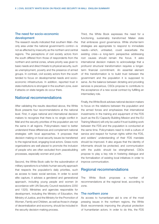# The need for socio–economic development

The research results indicated that southern Mali—the only area under the national government's control—is not as affected by insecurity as the northern and central regions. The perceptions of civil society actors from the south differed from those of respondents from the northern and central zones, where priority was given to basic needs and direct threats to physical security, such as unemployment, poverty and the presence of armed groups. In contrast, civil society actors from the south tended to focus on developmental needs and socio– economic infrastructure. In addition, reported trust in state institutions is strongest in the southern zone, even if attacks on state targets do occur there.

# National recommendations

After validating the results described above, the White Book presents four recommendations at the national level. First, it urges national and international decision makers to recognize that there is no single conflict in Mali and the security priorities of the population are not the same in all regions. Policymakers need to better understand these differences and complement national strategies with local approaches. It proposes that decision making on local security issues be transferred to the regional level, engaging local actors. Grass-roots organizations are well placed to promote the inclusion of people who are often excluded from peacebuilding processes, especially women and youth.

Second, the White Book calls for the subordination of military operations to a holistic human security approach that respects the population's daily priorities, such as access to basic social services. In order to avoid elite capture, it advises a gendered and generational approach, including young people and women (in accordance with UN Security Council resolutions 2250 and 1325). Ministries and agencies responsible for development, including the Ministry of Education, the Ministry of Justice, and the Ministry for the Promotion of Women, Family and Children, as well as those in charge of decentralization and economy, should be included in the security decision-making process.

Third, the White Book expresses the need for a functioning, sustainably transformed Malian state that embraces good governance. While shorter-term strategies are appropriate to respond to immediate needs—which, untreated, could exacerbate the existing crisis—a long-term perspective addressing root causes should remain the focus. It asks international decision makers to acknowledge that a profound structural transformation requires a longerterm financial commitment. An essential element of this transformation is to build trust between the government and the population it is supposed to serve. As the balance between dictating and providing services is precarious, CSOs propose to contribute to the acceptance of a new social contract by fulfilling an intermediary role.

Finally, the White Book advises national decision makers to focus on the relations between the population and the armed forces and emphasizes that international investments in the training and equipment of the FDS (such as the EU Capacity Building Mission and the EU Training Mission) will only be useful if trust-building work between the FDS and the population is conducted at the same time. Policymakers need to instil a culture of service and respect for human rights within the FDS, and soldiers' understanding of their FDS mandate should be improved. It also argues that the identity of informants should be protected, and communication with the public should be strengthened. CSOs propose to play a key role in fostering dialogue and the formalization of existing local initiatives in order to improve communication.

# Regional recommendations

The White Book proposes a number of recommendations at the regional level, according to zone.

#### The northern zone

As access to humanitarian aid is one of the most pressing issues in the northern regions, the White Book recommends improving the physical protection of humanitarian actors. In order to do this, the FDS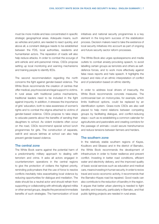must be more mobile and less concentrated in specific strategic geographical areas. Adequate means, such as vehicles and petrol, are needed to react quickly, and above all, a constant dialogue needs to be established between the FDS, local authorities, residents and humanitarian actors. The reparation of roads will also help reduce attacks. In order to combat the scourge of anti-vehicle and anti-personnel mines, CSOs propose setting up local monitoring and warning mechanisms and training people to identify IEDs.

The second recommendation regarding the north concerns the fight against gender-based violence. The White Book recommends the creation of centres that offer medical, psychosocial and legal support to victims. In rural areas with traditional justice mechanisms, traditional leaders need to be included in the fight against impunity. In addition, it stresses the importance of girls' education, both to raise awareness of women's rights and to combat the stigma attached to victims of gender-based violence. CSOs propose to take steps to educate parents about the benefits of sending their daughters to school. As violent incidents often occur on the road, CSOs recommend special school lunch programmes for girls. The construction of separate, well-lit and secure latrines at school can also help prevent gender-based violence.

#### The central zone

The White Book warns against the potential harm of a predominantly military approach to dealing with terrorism and crime. It asks all actors engaged in counterterrorism operations in the central regions to give the protection of civilians the highest priority, reminding policymakers that the use of force to resolve conflicts inevitably risks exacerbating local violence by reducing opportunities for dialogue and mediation. The state should be a neutral actor and should refrain from supporting or collaborating with ethnically aligned militia or other armed groups, despite the perceived immediate benefits of such strategies. The harmonization of local

initiatives and national security programmes is a key element in the long-term success of the stabilization process. Decision makers need to take the existence of local security initiatives into account as part of ongoing and future security sector reform processes.

The White Book also urges spokespersons and media outlets to combat anxiety-provoking speech, to avoid labelling certain groups as terrorists and others as selfdefence forces, and to work more effectively against false news reports and hate speech. It highlights the impact and risks of an ethnic interpretation of conflict and of polarization based on ethnic identity.

In order to address local drivers of insecurity, the White Book recommends concrete measures. The controversial ban on motorcycles, for example, which limits livelihood options, could be replaced by an identification system. Grass-roots CSOs are also well placed to help mend relations between competing groups by facilitating dialogue, and conflict-reducing steps—such as re-establishing a common calendar for agriculturists and pastoralists and creating corridors for the passage of animals—could secure transhumance and reduce tensions between farmers and herders.

#### The southern zone

In the relatively stable southern regions of Kayes, Koulikoro and Sikasso and in the district of Bamako, the White Book recommends the development of infrastructure in order to foster resilience and prevent conflict. Investing in better road conditions, efficient water and electricity delivery, and the improved quality of basic social services such as education and medical care, means investing in human security. In order to revive travel and socio–economic activity, it recommends that the Bamako–Kayes road be repaired. Good roads can also contribute to the reduction of banditry in the region. It argues that better urban planning is needed to fight banditry and insecurity, particularly in Bamako, and that public lighting projects are needed in rural areas.